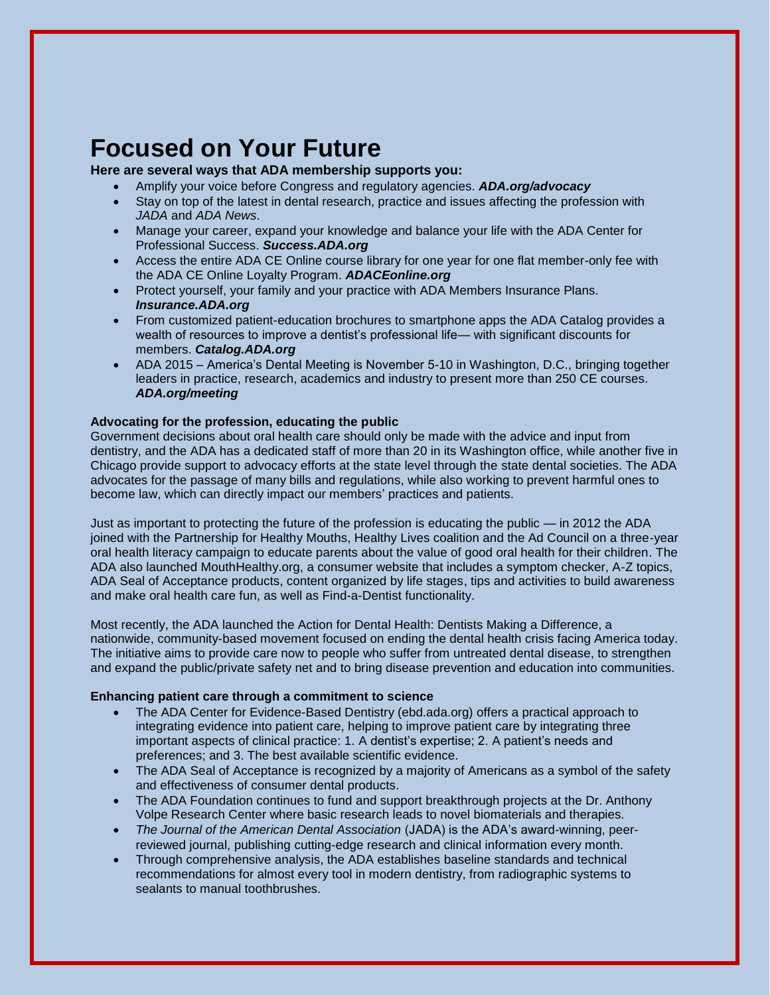# **Focused on Your Future**

### **Here are several ways that ADA membership supports you:**

- Amplify your voice before Congress and regulatory agencies. *ADA.org/advocacy*
- Stay on top of the latest in dental research, practice and issues affecting the profession with *JADA* and *ADA News*.
- Manage your career, expand your knowledge and balance your life with the ADA Center for Professional Success. *Success.ADA.org*
- Access the entire ADA CE Online course library for one year for one flat member-only fee with the ADA CE Online Loyalty Program. *ADACEonline.org*
- Protect yourself, your family and your practice with ADA Members Insurance Plans. *Insurance.ADA.org*
- From customized patient-education brochures to smartphone apps the ADA Catalog provides a wealth of resources to improve a dentist's professional life— with significant discounts for members. *Catalog.ADA.org*
- ADA 2015 America's Dental Meeting is November 5-10 in Washington, D.C., bringing together leaders in practice, research, academics and industry to present more than 250 CE courses. *ADA.org/meeting*

## **Advocating for the profession, educating the public**

Government decisions about oral health care should only be made with the advice and input from dentistry, and the ADA has a dedicated staff of more than 20 in its Washington office, while another five in Chicago provide support to advocacy efforts at the state level through the state dental societies. The ADA advocates for the passage of many bills and regulations, while also working to prevent harmful ones to become law, which can directly impact our members' practices and patients.

Just as important to protecting the future of the profession is educating the public — in 2012 the ADA joined with the Partnership for Healthy Mouths, Healthy Lives coalition and the Ad Council on a three-year oral health literacy campaign to educate parents about the value of good oral health for their children. The ADA also launched MouthHealthy.org, a consumer website that includes a symptom checker, A-Z topics, ADA Seal of Acceptance products, content organized by life stages, tips and activities to build awareness and make oral health care fun, as well as Find-a-Dentist functionality.

Most recently, the ADA launched the Action for Dental Health: Dentists Making a Difference, a nationwide, community-based movement focused on ending the dental health crisis facing America today. The initiative aims to provide care now to people who suffer from untreated dental disease, to strengthen and expand the public/private safety net and to bring disease prevention and education into communities.

#### **Enhancing patient care through a commitment to science**

- The ADA Center for Evidence-Based Dentistry (ebd.ada.org) offers a practical approach to integrating evidence into patient care, helping to improve patient care by integrating three important aspects of clinical practice: 1. A dentist's expertise; 2. A patient's needs and preferences; and 3. The best available scientific evidence.
- The ADA Seal of Acceptance is recognized by a majority of Americans as a symbol of the safety and effectiveness of consumer dental products.
- The ADA Foundation continues to fund and support breakthrough projects at the Dr. Anthony Volpe Research Center where basic research leads to novel biomaterials and therapies.
- *The Journal of the American Dental Association* (JADA) is the ADA's award-winning, peerreviewed journal, publishing cutting-edge research and clinical information every month.
- Through comprehensive analysis, the ADA establishes baseline standards and technical recommendations for almost every tool in modern dentistry, from radiographic systems to sealants to manual toothbrushes.